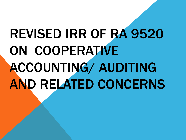# REVISED IRR OF RA 9520 ON COOPERATIVE ACCOUNTING/ AUDITING AND RELATED CONCERNS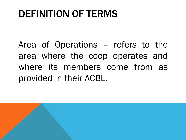Area of Operations – refers to the area where the coop operates and where its members come from as provided in their ACBL.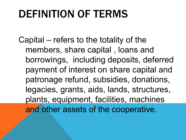Capital – refers to the totality of the members, share capital , loans and borrowings, including deposits, deferred payment of interest on share capital and patronage refund, subsidies, donations, legacies, grants, aids, lands, structures, plants, equipment, facilities, machines and other assets of the cooperative.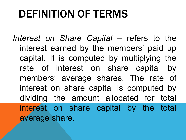Interest on *Share Capital* – refers to the interest earned by the members' paid up capital. It is computed by multiplying the rate of interest on share capital by members' average shares. The rate of interest on share capital is computed by dividing the amount allocated for total interest on share capital by the total average share.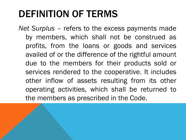*Net Surplus –* refers to the excess payments made by members, which shall not be construed as profits, from the loans or goods and services availed of or the difference of the rightful amount due to the members for their products sold or services rendered to the cooperative. It includes other inflow of assets resulting from its other operating activities, which shall be returned to the members as prescribed in the Code.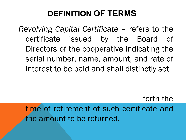*Revolving Capital Certificate –* refers to the certificate issued by the Board of Directors of the cooperative indicating the serial number, name, amount, and rate of interest to be paid and shall distinctly set

time of retirement of such certificate and the amount to be returned.

forth the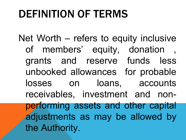Net Worth – refers to equity inclusive of members' equity, donation grants and reserve funds less unbooked allowances for probable losses on loans, accounts receivables, investment and nonperforming assets and other capital adjustments as may be allowed by the Authority.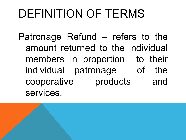Patronage Refund – refers to the amount returned to the individual members in proportion to their individual patronage of the cooperative products and services.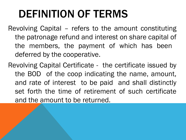- Revolving Capital refers to the amount constituting the patronage refund and interest on share capital of the members, the payment of which has been deferred by the cooperative.
- Revolving Capital Certificate the certificate issued by the BOD of the coop indicating the name, amount, and rate of interest to be paid and shall distinctly set forth the time of retirement of such certificate and the amount to be returned.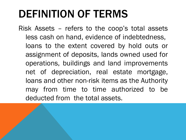Risk Assets – refers to the coop's total assets less cash on hand, evidence of indebtedness, loans to the extent covered by hold outs or assignment of deposits, lands owned used for operations, buildings and land improvements net of depreciation, real estate mortgage, loans and other non-risk items as the Authority may from time to time authorized to be deducted from the total assets.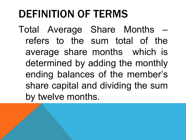Total Average Share Months – refers to the sum total of the average share months which is determined by adding the monthly ending balances of the member's share capital and dividing the sum by twelve months.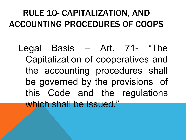## RULE 10- CAPITALIZATION, AND ACCOUNTING PROCEDURES OF COOPS

Legal Basis – Art. 71- "The Capitalization of cooperatives and the accounting procedures shall be governed by the provisions of this Code and the regulations which shall be issued."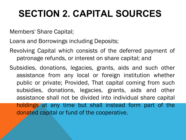# **SECTION 2. CAPITAL SOURCES**

Members' Share Capital;

Loans and Borrowings including Deposits;

- Revolving Capital which consists of the deferred payment of patronage refunds, or interest on share capital; and
- Subsidies, donations, legacies, grants, aids and such other assistance from any local or foreign institution whether public or private; Provided, That capital coming from such subsidies, donations, legacies, grants, aids and other assistance shall not be divided into individual share capital holdings at any time but shall instead form part of the donated capital or fund of the cooperative.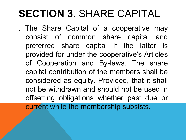# **SECTION 3.** SHARE CAPITAL

. The Share Capital of a cooperative may consist of common share capital and preferred share capital if the latter is provided for under the cooperative's Articles of Cooperation and By-laws. The share capital contribution of the members shall be considered as equity. Provided, that it shall not be withdrawn and should not be used in offsetting obligations whether past due or current while the membership subsists.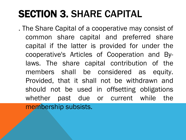# SECTION 3. SHARE CAPITAL

. The Share Capital of a cooperative may consist of common share capital and preferred share capital if the latter is provided for under the cooperative's Articles of Cooperation and Bylaws. The share capital contribution of the members shall be considered as equity. Provided, that it shall not be withdrawn and should not be used in offsetting obligations whether past due or current while the membership subsists.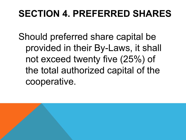## **SECTION 4. PREFERRED SHARES**

Should preferred share capital be provided in their By-Laws, it shall not exceed twenty five (25%) of the total authorized capital of the cooperative.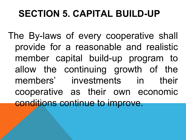## **SECTION 5. CAPITAL BUILD-UP**

The By-laws of every cooperative shall provide for a reasonable and realistic member capital build-up program to allow the continuing growth of the members' investments in their cooperative as their own economic conditions continue to improve.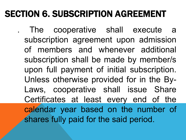## SECTION 6. SUBSCRIPTION AGREEMENT

. The cooperative shall execute a subscription agreement upon admission of members and whenever additional subscription shall be made by member/s upon full payment of initial subscription. Unless otherwise provided for in the By-Laws, cooperative shall issue Share Certificates at least every end of the calendar year based on the number of shares fully paid for the said period.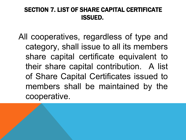#### SECTION 7. LIST OF SHARE CAPITAL CERTIFICATE ISSUED.

All cooperatives, regardless of type and category, shall issue to all its members share capital certificate equivalent to their share capital contribution. A list of Share Capital Certificates issued to members shall be maintained by the cooperative.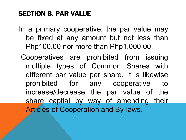#### SECTION 8. PAR VALUE

- In a primary cooperative, the par value may be fixed at any amount but not less than Php100.00 nor more than Php1,000.00.
	- Cooperatives are prohibited from issuing multiple types of Common Shares with different par value per share. It is likewise prohibited for any cooperative to increase/decrease the par value of the share capital by way of amending their Articles of Cooperation and By-laws.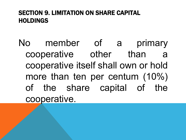#### SECTION 9. LIMITATION ON SHARE CAPITAL HOLDINGS

No member of a primary cooperative other than cooperative itself shall own or hold more than ten per centum (10%) of the share capital of the cooperative.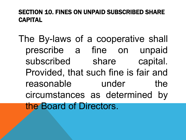#### SECTION 10. FINES ON UNPAID SUBSCRIBED SHARE CAPITAL

The By-laws of a cooperative shall prescribe a fine on unpaid subscribed share capital. Provided, that such fine is fair and reasonable under the circumstances as determined by the Board of Directors.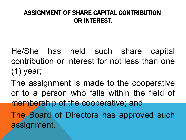#### ASSIGNMENT OF SHARE CAPITAL CONTRIBUTION OR INTEREST.

- He/She has held such share capital contribution or interest for not less than one (1) year;
- The assignment is made to the cooperative or to a person who falls within the field of membership of the cooperative; and The Board of Directors has approved such
- assignment.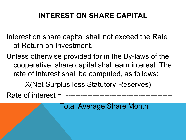### **INTEREST ON SHARE CAPITAL**

Interest on share capital shall not exceed the Rate of Return on Investment.

Unless otherwise provided for in the By-laws of the cooperative, share capital shall earn interest. The rate of interest shall be computed, as follows:

X(Net Surplus less Statutory Reserves)

Rate of interest = --------------------------------------------

Total Average Share Month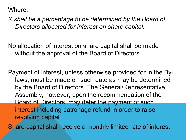Where:

*X shall be a percentage to be determined by the Board of Directors allocated for interest on share capital.*

No allocation of interest on share capital shall be made without the approval of the Board of Directors.

Payment of interest, unless otherwise provided for in the Bylaws, must be made on such date as may be determined by the Board of Directors. The General/Representative Assembly, however, upon the recommendation of the Board of Directors, may defer the payment of such interest including patronage refund in order to raise revolving capital.

Share capital shall receive a monthly limited rate of interest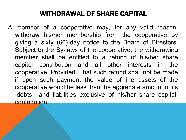#### WITHDRAWAL OF SHARE CAPITAL

A member of a cooperative may, for any valid reason, withdraw his/her membership from the cooperative by giving a sixty (60)-day notice to the Board of Directors. Subject to the By-laws of the cooperative, the withdrawing member shall be entitled to a refund of his/her share capital contribution and all other interests in the cooperative. Provided, That such refund shall not be made if upon such payment the value of the assets of the cooperative would be less than the aggregate amount of its debts and liabilities exclusive of his/her share capital contribution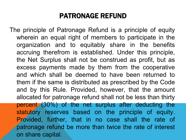#### PATRONAGE REFUND

The principle of Patronage Refund is a principle of equity wherein an equal right of members to participate in the organization and to equitably share in the benefits accruing therefrom is established. Under this principle, the Net Surplus shall not be construed as profit, but as excess payments made by them from the cooperative and which shall be deemed to have been returned to them if the same is distributed as prescribed by the Code and by this Rule. Provided, however, that the amount allocated for patronage refund shall not be less than thirty percent (30%) of the net surplus after deducting the statutory reserves based on the principle of equity. Provided, further, that in no case shall the rate of patronage refund be more than twice the rate of interest on share capital.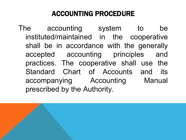### ACCOUNTING PROCEDURE

The accounting system to be instituted/maintained in the cooperative shall be in accordance with the generally accepted accounting principles and practices. The cooperative shall use the Standard Chart of Accounts and its accompanying Accounting Manual prescribed by the Authority.

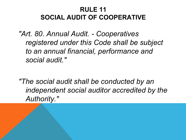#### **RULE 11 SOCIAL AUDIT OF COOPERATIVE**

*"Art. 80. Annual Audit. - Cooperatives registered under this Code shall be subject to an annual financial, performance and social audit."*

*"The social audit shall be conducted by an independent social auditor accredited by the Authority."*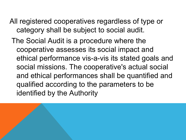- All registered cooperatives regardless of type or category shall be subject to social audit.
	- The Social Audit is a procedure where the cooperative assesses its social impact and ethical performance vis-a-vis its stated goals and social missions. The cooperative's actual social and ethical performances shall be quantified and qualified according to the parameters to be identified by the Authority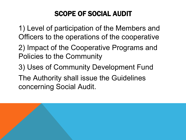### SCOPE OF SOCIAL AUDIT

1) Level of participation of the Members and Officers to the operations of the cooperative

- 2) Impact of the Cooperative Programs and Policies to the Community
- 3) Uses of Community Development Fund The Authority shall issue the Guidelines concerning Social Audit.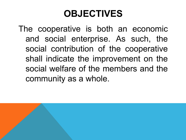## **OBJECTIVES**

The cooperative is both an economic and social enterprise. As such, the social contribution of the cooperative shall indicate the improvement on the social welfare of the members and the community as a whole.

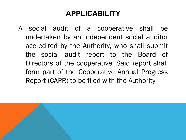### **APPLICABILITY**

A social audit of a cooperative shall be undertaken by an independent social auditor accredited by the Authority, who shall submit the social audit report to the Board of Directors of the cooperative. Said report shall form part of the Cooperative Annual Progress Report (CAPR) to be filed with the Authority

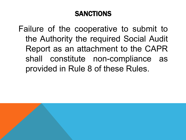### **SANCTIONS**

Failure of the cooperative to submit to the Authority the required Social Audit Report as an attachment to the CAPR shall constitute non-compliance as provided in Rule 8 of these Rules.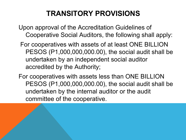### **TRANSITORY PROVISIONS**

- Upon approval of the Accreditation Guidelines of Cooperative Social Auditors, the following shall apply:
- For cooperatives with assets of at least ONE BILLION PESOS (P1,000,000,000.00), the social audit shall be undertaken by an independent social auditor accredited by the Authority;
- For cooperatives with assets less than ONE BILLION PESOS (P1,000,000,000.00), the social audit shall be undertaken by the internal auditor or the audit committee of the cooperative.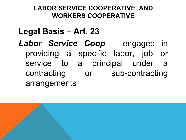#### **LABOR SERVICE COOPERATIVE AND WORKERS COOPERATIVE**

### **Legal Basis – Art. 23**

*Labor Service Coop* – engaged in providing a specific labor, job or service to a principal under a contracting or sub-contracting arrangements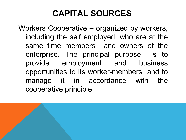## **CAPITAL SOURCES**

Workers Cooperative – organized by workers, including the self employed, who are at the same time members and owners of the enterprise. The principal purpose is to provide employment and business opportunities to its worker-members and to manage it in accordance with the cooperative principle.

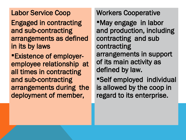#### Labor Service Coop

Engaged in contracting and sub-contracting arrangements as defined in its by laws

Existence of employeremployee relationship at all times in contracting and sub-contracting arrangements during the deployment of member,

Workers Cooperative

May engage in labor and production, including contracting and sub contracting arrangements in support of its main activity as defined by law.

Self employed individual is allowed by the coop in regard to its enterprise.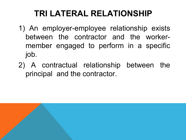## **TRI LATERAL RELATIONSHIP**

- 1) An employer-employee relationship exists between the contractor and the workermember engaged to perform in a specific job.
- 2) A contractual relationship between the principal and the contractor.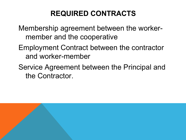### **REQUIRED CONTRACTS**

Membership agreement between the workermember and the cooperative

- Employment Contract between the contractor and worker-member
- Service Agreement between the Principal and the Contractor.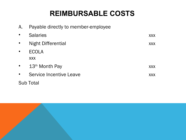### **REIMBURSABLE COSTS**

| Α.        | Payable directly to member-employee |            |
|-----------|-------------------------------------|------------|
|           | <b>Salaries</b>                     | <b>XXX</b> |
|           | <b>Night Differential</b>           | <b>XXX</b> |
|           | <b>ECOLA</b>                        |            |
|           | <b>XXX</b>                          |            |
| $\bullet$ | $13th$ Month Pay                    | <b>XXX</b> |
|           | Service Incentive Leave             | <b>XXX</b> |
|           | <b>Sub Total</b>                    |            |